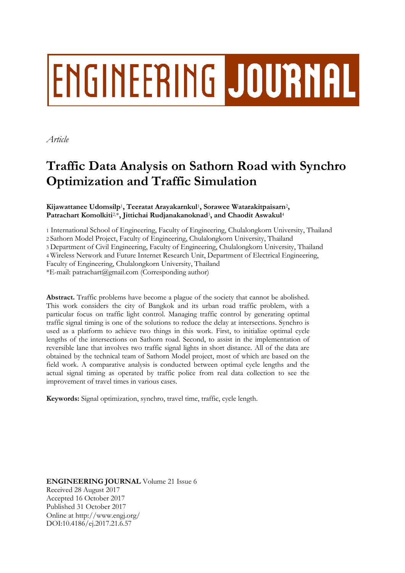# **ENGINEERING JOURNAL**

*Article*

# **Traffic Data Analysis on Sathorn Road with Synchro Optimization and Traffic Simulation**

# **Kijawattanee Udomsilp**<sup>1</sup> **, Teeratat Arayakarnkul**<sup>1</sup> **, Sorawee Watarakitpaisarn**<sup>2</sup> **, Patrachart Komolkiti**2,\***, Jittichai Rudjanakanoknad**<sup>3</sup> **, and Chaodit Aswakul**<sup>4</sup>

 International School of Engineering, Faculty of Engineering, Chulalongkorn University, Thailand Sathorn Model Project, Faculty of Engineering, Chulalongkorn University, Thailand Department of Civil Engineering, Faculty of Engineering, Chulalongkorn University, Thailand Wireless Network and Future Internet Research Unit, Department of Electrical Engineering, Faculty of Engineering, Chulalongkorn University, Thailand  $*E$ -mail: patrachart@gmail.com (Corresponding author)

**Abstract.** Traffic problems have become a plague of the society that cannot be abolished. This work considers the city of Bangkok and its urban road traffic problem, with a particular focus on traffic light control. Managing traffic control by generating optimal traffic signal timing is one of the solutions to reduce the delay at intersections. Synchro is used as a platform to achieve two things in this work. First, to initialize optimal cycle lengths of the intersections on Sathorn road. Second, to assist in the implementation of reversible lane that involves two traffic signal lights in short distance. All of the data are obtained by the technical team of Sathorn Model project, most of which are based on the field work. A comparative analysis is conducted between optimal cycle lengths and the actual signal timing as operated by traffic police from real data collection to see the improvement of travel times in various cases.

**Keywords:** Signal optimization, synchro, travel time, traffic, cycle length.

**ENGINEERING JOURNAL** Volume 21 Issue 6 Received 28 August 2017 Accepted 16 October 2017 Published 31 October 2017 Online at http://www.engj.org/ DOI:10.4186/ej.2017.21.6.57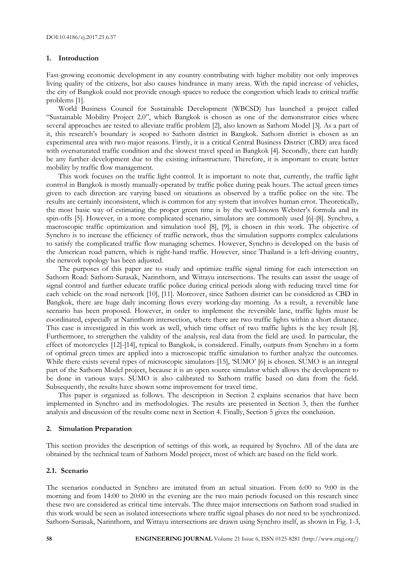### **1. Introduction**

Fast-growing economic development in any country contributing with higher mobility not only improves living quality of the citizens, but also causes hindrance in many areas. With the rapid increase of vehicles, the city of Bangkok could not provide enough spaces to reduce the congestion which leads to critical traffic problems [1].

World Business Council for Sustainable Development (WBCSD) has launched a project called "Sustainable Mobility Project 2.0", which Bangkok is chosen as one of the demonstrator cities where several approaches are tested to alleviate traffic problem [2], also known as Sathorn Model [3]. As a part of it, this research's boundary is scoped to Sathorn district in Bangkok. Sathorn district is chosen as an experimental area with two major reasons. Firstly, it is a critical Central Business District (CBD) area faced with oversaturated traffic condition and the slowest travel speed in Bangkok [4]. Secondly, there can hardly be any further development due to the existing infrastructure. Therefore, it is important to create better mobility by traffic flow management.

This work focuses on the traffic light control. It is important to note that, currently, the traffic light control in Bangkok is mostly manually-operated by traffic police during peak hours. The actual green times given to each direction are varying based on situations as observed by a traffic police on the site. The results are certainly inconsistent, which is common for any system that involves human error. Theoretically, the most basic way of estimating the proper green time is by the well-known Webster's formula and its spin-offs [5]. However, in a more complicated scenario, simulators are commonly used [6]-[8]. Synchro, a macroscopic traffic optimization and simulation tool [8], [9], is chosen in this work. The objective of Synchro is to increase the efficiency of traffic network, thus the simulation supports complex calculations to satisfy the complicated traffic flow managing schemes. However, Synchro is developed on the basis of the American road pattern, which is right-hand traffic. However, since Thailand is a left-driving country, the network topology has been adjusted.

The purposes of this paper are to study and optimize traffic signal timing for each intersection on Sathorn Road: Sathorn-Surasak, Narinthorn, and Wittayu intersections. The results can assist the usage of signal control and further educate traffic police during critical periods along with reducing travel time for each vehicle on the road network [10], [11]. Moreover, since Sathorn district can be considered as CBD in Bangkok, there are huge daily incoming flows every working-day morning. As a result, a reversible lane scenario has been proposed. However, in order to implement the reversible lane, traffic lights must be coordinated, especially at Narinthorn intersection, where there are two traffic lights within a short distance. This case is investigated in this work as well, which time offset of two traffic lights is the key result [8]. Furthermore, to strengthen the validity of the analysis, real data from the field are used. In particular, the effect of motorcycles [12]-[14], typical to Bangkok, is considered. Finally, outputs from Synchro in a form of optimal green times are applied into a microscopic traffic simulation to further analyze the outcomes. While there exists several types of microscopic simulators [15], 'SUMO' [6] is chosen. SUMO is an integral part of the Sathorn Model project, because it is an open source simulator which allows the development to be done in various ways. SUMO is also calibrated to Sathorn traffic based on data from the field. Subsequently, the results have shown some improvement for travel time.

This paper is organized as follows. The description in Section 2 explains scenarios that have been implemented in Synchro and its methodologies. The results are presented in Section 3, then the further analysis and discussion of the results come next in Section 4. Finally, Section 5 gives the conclusion.

# **2. Simulation Preparation**

This section provides the description of settings of this work, as required by Synchro. All of the data are obtained by the technical team of Sathorn Model project, most of which are based on the field work.

# **2.1. Scenario**

The scenarios conducted in Synchro are imitated from an actual situation. From 6:00 to 9:00 in the morning and from 14:00 to 20:00 in the evening are the two main periods focused on this research since these two are considered as critical time intervals. The three major intersections on Sathorn road studied in this work would be seen as isolated intersections where traffic signal phases do not need to be synchronized. Sathorn-Surasak, Narinthorn, and Wittayu intersections are drawn using Synchro itself, as shown in Fig. 1-3,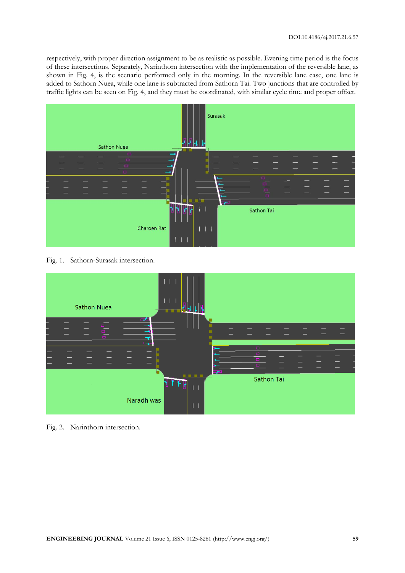respectively, with proper direction assignment to be as realistic as possible. Evening time period is the focus of these intersections. Separately, Narinthorn intersection with the implementation of the reversible lane, as shown in Fig. 4, is the scenario performed only in the morning. In the reversible lane case, one lane is added to Sathorn Nuea, while one lane is subtracted from Sathorn Tai. Two junctions that are controlled by traffic lights can be seen on Fig. 4, and they must be coordinated, with similar cycle time and proper offset.



Fig. 1. Sathorn-Surasak intersection.



Fig. 2. Narinthorn intersection.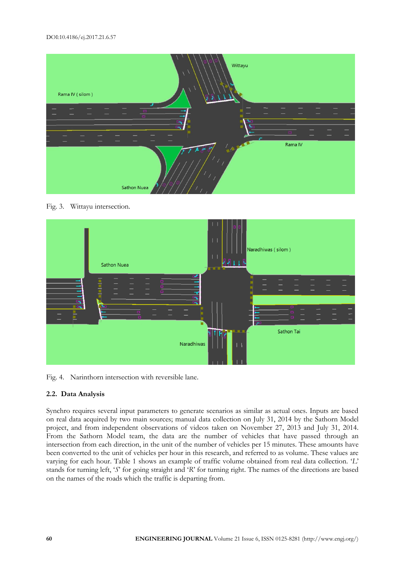

Fig. 3. Wittayu intersection.



Fig. 4. Narinthorn intersection with reversible lane.

# **2.2. Data Analysis**

Synchro requires several input parameters to generate scenarios as similar as actual ones. Inputs are based on real data acquired by two main sources; manual data collection on July 31, 2014 by the Sathorn Model project, and from independent observations of videos taken on November 27, 2013 and July 31, 2014. From the Sathorn Model team, the data are the number of vehicles that have passed through an intersection from each direction, in the unit of the number of vehicles per 15 minutes. These amounts have been converted to the unit of vehicles per hour in this research, and referred to as volume. These values are varying for each hour. Table 1 shows an example of traffic volume obtained from real data collection. '*L*' stands for turning left, '*S*' for going straight and '*R*' for turning right. The names of the directions are based on the names of the roads which the traffic is departing from.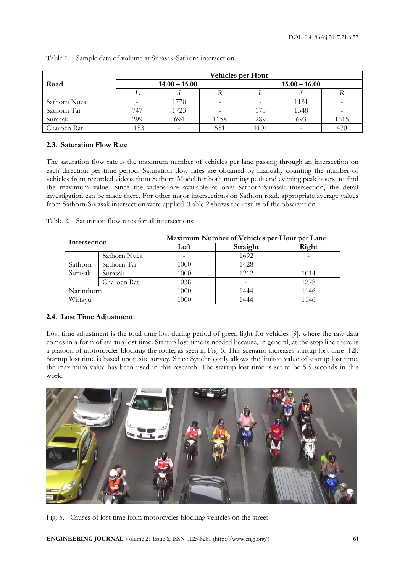|              | <b>Vehicles per Hour</b> |                 |                          |                 |      |      |  |  |  |
|--------------|--------------------------|-----------------|--------------------------|-----------------|------|------|--|--|--|
| Road         |                          | $14.00 - 15.00$ |                          | $15.00 - 16.00$ |      |      |  |  |  |
|              |                          |                 |                          |                 |      |      |  |  |  |
| Sathorn Nuea |                          | 1770            | $\overline{\phantom{a}}$ |                 | 1181 |      |  |  |  |
| Sathorn Tai  | 747                      | 1723            |                          | 175             | 1548 |      |  |  |  |
| Surasak      | 299                      | 694             | 1158                     | 289             | 693  | 1615 |  |  |  |
| Charoen Rat  | 1153                     |                 | 551                      | 1101            |      | 470  |  |  |  |

Table 1. Sample data of volume at Surasak-Sathorn intersection.

# **2.3. Saturation Flow Rate**

The saturation flow rate is the maximum number of vehicles per lane passing through an intersection on each direction per time period. Saturation flow rates are obtained by manually counting the number of vehicles from recorded videos from Sathorn Model for both morning peak and evening peak hours, to find the maximum value. Since the videos are available at only Sathorn-Surasak intersection, the detail investigation can be made there. For other major intersections on Sathorn road, appropriate average values from Sathorn-Surasak intersection were applied. Table 2 shows the results of the observation.

| Intersection |              | Maximum Number of Vehicles per Hour per Lane |       |      |  |  |  |
|--------------|--------------|----------------------------------------------|-------|------|--|--|--|
|              |              | Left                                         | Right |      |  |  |  |
|              | Sathorn Nuea |                                              | 1692  |      |  |  |  |
| Sathorn-     | Sathorn Tai  | 1000                                         | 1428  |      |  |  |  |
| Surasak      | Surasak      | 1000                                         | 1212  | 1014 |  |  |  |
|              | Charoen Rat  | 1038                                         |       | 1278 |  |  |  |
| Narinthorn   |              | 1000                                         | 1444  | 1146 |  |  |  |
| Wittayu      |              | 1000                                         | 1444  | 1146 |  |  |  |

Table 2. Saturation flow rates for all intersections.

# **2.4. Lost Time Adjustment**

Lost time adjustment is the total time lost during period of green light for vehicles [9], where the raw data comes in a form of startup lost time. Startup lost time is needed because, in general, at the stop line there is a platoon of motorcycles blocking the route, as seen in Fig. 5. This scenario increases startup lost time [12]. Startup lost time is based upon site survey. Since Synchro only allows the limited value of startup lost time, the maximum value has been used in this research. The startup lost time is set to be 5.5 seconds in this work.



Fig. 5. Causes of lost time from motorcycles blocking vehicles on the street.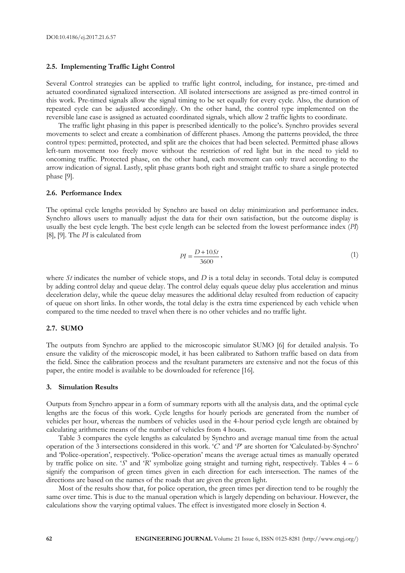#### **2.5. Implementing Traffic Light Control**

Several Control strategies can be applied to traffic light control, including, for instance, pre-timed and actuated coordinated signalized intersection. All isolated intersections are assigned as pre-timed control in this work. Pre-timed signals allow the signal timing to be set equally for every cycle. Also, the duration of repeated cycle can be adjusted accordingly. On the other hand, the control type implemented on the reversible lane case is assigned as actuated coordinated signals, which allow 2 traffic lights to coordinate.

The traffic light phasing in this paper is prescribed identically to the police's. Synchro provides several movements to select and create a combination of different phases. Among the patterns provided, the three control types: permitted, protected, and split are the choices that had been selected. Permitted phase allows left-turn movement too freely move without the restriction of red light but in the need to yield to oncoming traffic. Protected phase, on the other hand, each movement can only travel according to the arrow indication of signal. Lastly, split phase grants both right and straight traffic to share a single protected phase [9].

# **2.6. Performance Index**

The optimal cycle lengths provided by Synchro are based on delay minimization and performance index. Synchro allows users to manually adjust the data for their own satisfaction, but the outcome display is usually the best cycle length. The best cycle length can be selected from the lowest performance index (*PI*) [8], [9]. The *PI* is calculated from

$$
PI = \frac{D + 10St}{3600},\tag{1}
$$

where *St* indicates the number of vehicle stops, and *D* is a total delay in seconds. Total delay is computed by adding control delay and queue delay. The control delay equals queue delay plus acceleration and minus deceleration delay, while the queue delay measures the additional delay resulted from reduction of capacity of queue on short links. In other words, the total delay is the extra time experienced by each vehicle when compared to the time needed to travel when there is no other vehicles and no traffic light.

# **2.7. SUMO**

The outputs from Synchro are applied to the microscopic simulator SUMO [6] for detailed analysis. To ensure the validity of the microscopic model, it has been calibrated to Sathorn traffic based on data from the field. Since the calibration process and the resultant parameters are extensive and not the focus of this paper, the entire model is available to be downloaded for reference [16].

#### **3. Simulation Results**

Outputs from Synchro appear in a form of summary reports with all the analysis data, and the optimal cycle lengths are the focus of this work. Cycle lengths for hourly periods are generated from the number of vehicles per hour, whereas the numbers of vehicles used in the 4-hour period cycle length are obtained by calculating arithmetic means of the number of vehicles from 4 hours.

Table 3 compares the cycle lengths as calculated by Synchro and average manual time from the actual operation of the 3 intersections considered in this work. '*C*' and '*P*' are shorten for 'Calculated-by-Synchro' and 'Police-operation', respectively. 'Police-operation' means the average actual times as manually operated by traffic police on site. '*S*' and '*R*' symbolize going straight and turning right, respectively. Tables 4 – 6 signify the comparison of green times given in each direction for each intersection. The names of the directions are based on the names of the roads that are given the green light.

Most of the results show that, for police operation, the green times per direction tend to be roughly the same over time. This is due to the manual operation which is largely depending on behaviour. However, the calculations show the varying optimal values. The effect is investigated more closely in Section 4.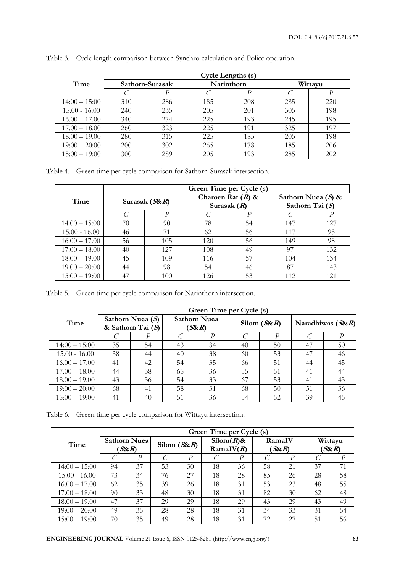|                 | Cycle Lengths (s) |     |            |     |     |         |  |  |  |  |
|-----------------|-------------------|-----|------------|-----|-----|---------|--|--|--|--|
| Time            | Sathorn-Surasak   |     | Narinthorn |     |     | Wittayu |  |  |  |  |
|                 |                   | D   |            | P   |     | P       |  |  |  |  |
| $14:00 - 15:00$ | 310               | 286 | 185        | 208 | 285 | 220     |  |  |  |  |
| $15.00 - 16.00$ | 240               | 235 | 205        | 201 | 305 | 198     |  |  |  |  |
| $16.00 - 17.00$ | 340               | 274 | 225        | 193 | 245 | 195     |  |  |  |  |
| $17.00 - 18.00$ | 260               | 323 | 225        | 191 | 325 | 197     |  |  |  |  |
| $18.00 - 19.00$ | 280               | 315 | 225        | 185 | 205 | 198     |  |  |  |  |
| $19:00 - 20:00$ | 200               | 302 | 265        | 178 | 185 | 206     |  |  |  |  |
| $15:00 - 19:00$ | 300               | 289 | 205        | 193 | 285 | 202     |  |  |  |  |

Table 3. Cycle length comparison between Synchro calculation and Police operation.

Table 4. Green time per cycle comparison for Sathorn-Surasak intersection.

|                 | Green Time per Cycle (s) |                  |     |                                      |                                           |     |  |  |
|-----------------|--------------------------|------------------|-----|--------------------------------------|-------------------------------------------|-----|--|--|
| Time            |                          | Surasak $(S\&R)$ |     | Charoen Rat $(R)$ &<br>Surasak $(R)$ | Sathorn Nuea $(S)$ &<br>Sathorn Tai $(S)$ |     |  |  |
|                 |                          | P                |     |                                      |                                           | Ρ   |  |  |
| $14:00 - 15:00$ | 70                       | 90               | 78  | 54                                   | 147                                       | 127 |  |  |
| $15.00 - 16.00$ | 46                       | 71               | 62  | 56                                   | 117                                       | 93  |  |  |
| $16.00 - 17.00$ | 56                       | 105              | 120 | 56                                   | 149                                       | 98  |  |  |
| $17.00 - 18.00$ | 40                       | 127              | 108 | 49                                   | 97                                        | 132 |  |  |
| $18.00 - 19.00$ | 45                       | 109              | 116 | 57                                   | 104                                       | 134 |  |  |
| $19:00 - 20:00$ | 44                       | 98               | 54  | 46                                   | 87                                        | 143 |  |  |
| $15:00 - 19:00$ | 47                       | 100              | 126 | 53                                   | 112                                       | 121 |  |  |

Table 5. Green time per cycle comparison for Narinthorn intersection.

|                 | Green Time per Cycle (s)                |    |                            |    |                |    |                     |    |  |  |
|-----------------|-----------------------------------------|----|----------------------------|----|----------------|----|---------------------|----|--|--|
| Time            | Sathorn Nuea $(S)$<br>& Sathorn Tai (S) |    | <b>Sathorn Nuea</b><br>SSR |    | Silom $(S\&R)$ |    | Naradhiwas $(S\&R)$ |    |  |  |
|                 |                                         | P  |                            | P  |                | P  |                     | Р  |  |  |
| $14:00 - 15:00$ | 35                                      | 54 | 43                         | 34 | 40             | 50 | 47                  | 50 |  |  |
| $15.00 - 16.00$ | 38                                      | 44 | 40                         | 38 | 60             | 53 | 47                  | 46 |  |  |
| $16.00 - 17.00$ | 41                                      | 42 | 54                         | 35 | 66             | 51 | 44                  | 45 |  |  |
| $17.00 - 18.00$ | 44                                      | 38 | 65                         | 36 | 55             | 51 | 41                  | 44 |  |  |
| $18.00 - 19.00$ | 43                                      | 36 | 54                         | 33 | 67             | 53 | 41                  | 43 |  |  |
| $19:00 - 20:00$ | 68                                      | 41 | 58                         | 31 | 68             | 50 | 51                  | 36 |  |  |
| $15:00 - 19:00$ | 41                                      | 40 | 51                         | 36 | 54             | 52 | 39                  | 45 |  |  |

Table 6. Green time per cycle comparison for Wittayu intersection.

|                 | Green Time per Cycle (s)   |    |                |    |                                          |    |                   |    |                |    |
|-----------------|----------------------------|----|----------------|----|------------------------------------------|----|-------------------|----|----------------|----|
| Time            | <b>Sathorn Nuea</b><br>SSR |    | Silom $(S\&R)$ |    | $\text{Si} \text{lom}(R)$ &<br>RamalV(R) |    | RamaIV<br>$SS\&R$ |    | Wittayu<br>SSR |    |
|                 |                            | P  |                | P  |                                          | D  |                   | P  |                | P  |
| $14:00 - 15:00$ | 94                         | 37 | 53             | 30 | 18                                       | 36 | 58                | 21 | 37             | 71 |
| $15.00 - 16.00$ | 73                         | 34 | 76             | 27 | 18                                       | 28 | 85                | 26 | 28             | 58 |
| $16.00 - 17.00$ | 62                         | 35 | 39             | 26 | 18                                       | 31 | 53                | 23 | 48             | 55 |
| $17.00 - 18.00$ | 90                         | 33 | 48             | 30 | 18                                       | 31 | 82                | 30 | 62             | 48 |
| $18.00 - 19.00$ | 47                         | 37 | 29             | 29 | 18                                       | 29 | 43                | 29 | 43             | 49 |
| $19:00 - 20:00$ | 49                         | 35 | 28             | 28 | 18                                       | 31 | 34                | 33 | 31             | 54 |
| $15:00 - 19:00$ | 70                         | 35 | 49             | 28 | 18                                       | 31 | 72                | 27 | 51             | 56 |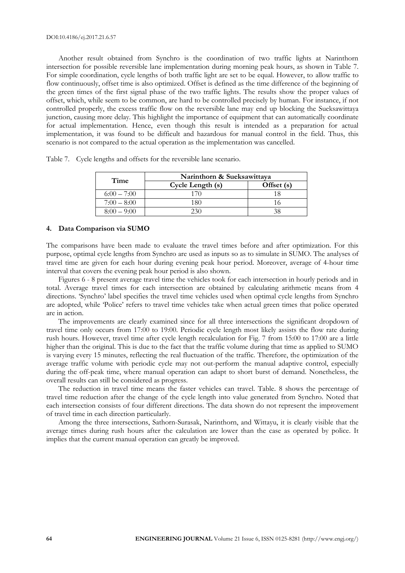Another result obtained from Synchro is the coordination of two traffic lights at Narinthorn intersection for possible reversible lane implementation during morning peak hours, as shown in Table 7. For simple coordination, cycle lengths of both traffic light are set to be equal. However, to allow traffic to flow continuously, offset time is also optimized. Offset is defined as the time difference of the beginning of the green times of the first signal phase of the two traffic lights. The results show the proper values of offset, which, while seem to be common, are hard to be controlled precisely by human. For instance, if not controlled properly, the excess traffic flow on the reversible lane may end up blocking the Sueksawittaya junction, causing more delay. This highlight the importance of equipment that can automatically coordinate for actual implementation. Hence, even though this result is intended as a preparation for actual implementation, it was found to be difficult and hazardous for manual control in the field. Thus, this scenario is not compared to the actual operation as the implementation was cancelled.

| Time          | Narinthorn & Sueksawittaya |            |  |  |  |  |
|---------------|----------------------------|------------|--|--|--|--|
|               | Cycle Length (s)           | Offset (s) |  |  |  |  |
| $6:00 - 7:00$ |                            |            |  |  |  |  |
| $7:00-8:00$   | 180                        |            |  |  |  |  |
| $8:00-9:00$   |                            | 38         |  |  |  |  |

Table 7. Cycle lengths and offsets for the reversible lane scenario.

#### **4. Data Comparison via SUMO**

The comparisons have been made to evaluate the travel times before and after optimization. For this purpose, optimal cycle lengths from Synchro are used as inputs so as to simulate in SUMO. The analyses of travel time are given for each hour during evening peak hour period. Moreover, average of 4-hour time interval that covers the evening peak hour period is also shown.

Figures 6 - 8 present average travel time the vehicles took for each intersection in hourly periods and in total. Average travel times for each intersection are obtained by calculating arithmetic means from 4 directions. 'Synchro' label specifies the travel time vehicles used when optimal cycle lengths from Synchro are adopted, while 'Police' refers to travel time vehicles take when actual green times that police operated are in action.

The improvements are clearly examined since for all three intersections the significant dropdown of travel time only occurs from 17:00 to 19:00. Periodic cycle length most likely assists the flow rate during rush hours. However, travel time after cycle length recalculation for Fig. 7 from 15:00 to 17:00 are a little higher than the original. This is due to the fact that the traffic volume during that time as applied to SUMO is varying every 15 minutes, reflecting the real fluctuation of the traffic. Therefore, the optimization of the average traffic volume with periodic cycle may not out-perform the manual adaptive control, especially during the off-peak time, where manual operation can adapt to short burst of demand. Nonetheless, the overall results can still be considered as progress.

The reduction in travel time means the faster vehicles can travel. Table. 8 shows the percentage of travel time reduction after the change of the cycle length into value generated from Synchro. Noted that each intersection consists of four different directions. The data shown do not represent the improvement of travel time in each direction particularly.

Among the three intersections, Sathorn-Surasak, Narinthorn, and Wittayu, it is clearly visible that the average times during rush hours after the calculation are lower than the case as operated by police. It implies that the current manual operation can greatly be improved.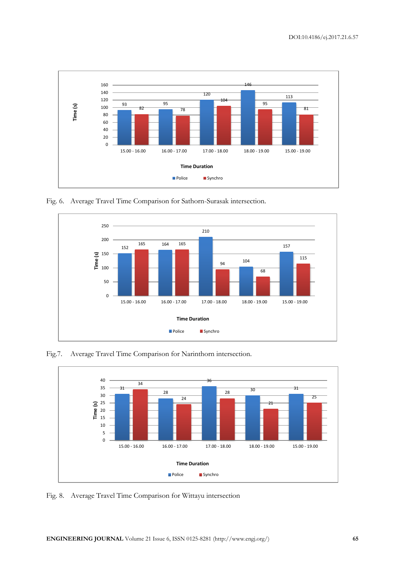

Fig. 6. Average Travel Time Comparison for Sathorn-Surasak intersection.



Fig.7. Average Travel Time Comparison for Narinthorn intersection.



Fig. 8. Average Travel Time Comparison for Wittayu intersection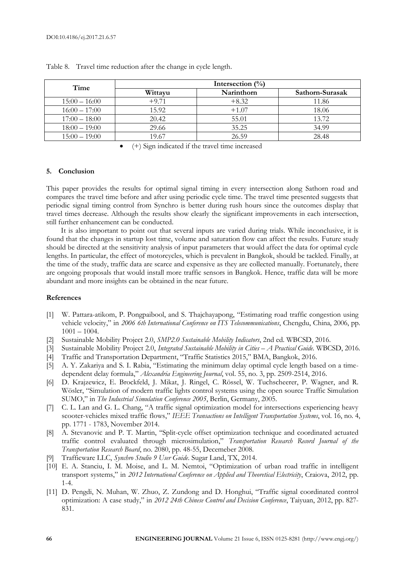| Time            | Intersection $(\frac{0}{0})$ |            |                 |  |  |  |  |
|-----------------|------------------------------|------------|-----------------|--|--|--|--|
|                 | Wittayu                      | Narinthorn | Sathorn-Surasak |  |  |  |  |
| $15:00 - 16:00$ | $+9.71$                      | $+8.32$    | 11.86           |  |  |  |  |
| $16:00 - 17:00$ | 15.92                        | $+1.07$    | 18.06           |  |  |  |  |
| $17:00 - 18:00$ | 20.42                        | 55.01      | 13.72           |  |  |  |  |
| $18:00 - 19:00$ | 29.66                        | 35.25      | 34.99           |  |  |  |  |
| $15:00 - 19:00$ | 19.67                        | 26.59      | 28.48           |  |  |  |  |

Table 8. Travel time reduction after the change in cycle length.

(+) Sign indicated if the travel time increased

# **5. Conclusion**

This paper provides the results for optimal signal timing in every intersection along Sathorn road and compares the travel time before and after using periodic cycle time. The travel time presented suggests that periodic signal timing control from Synchro is better during rush hours since the outcomes display that travel times decrease. Although the results show clearly the significant improvements in each intersection, still further enhancement can be conducted.

It is also important to point out that several inputs are varied during trials. While inconclusive, it is found that the changes in startup lost time, volume and saturation flow can affect the results. Future study should be directed at the sensitivity analysis of input parameters that would affect the data for optimal cycle lengths. In particular, the effect of motorcycles, which is prevalent in Bangkok, should be tackled. Finally, at the time of the study, traffic data are scarce and expensive as they are collected manually. Fortunately, there are ongoing proposals that would install more traffic sensors in Bangkok. Hence, traffic data will be more abundant and more insights can be obtained in the near future.

#### **References**

- [1] W. Pattara-atikom, P. Pongpaibool, and S. Thajchayapong, "Estimating road traffic congestion using vehicle velocity," in *2006 6th International Conference on ITS Telecommunications*, Chengdu, China, 2006, pp. 1001 – 1004.
- [2] Sustainable Mobility Project 2.0, *SMP2.0 Sustainable Mobility Indicators*, 2nd ed. WBCSD, 2016.
- [3] Sustainable Mobility Project 2.0, *Integrated Sustainable Mobility in Cities – A Practical Guide*. WBCSD, 2016.
- [4] Traffic and Transportation Department, "Traffic Statistics 2015," BMA, Bangkok, 2016.
- [5] A. Y. Zakariya and S. I. Rabia, "Estimating the minimum delay optimal cycle length based on a timedependent delay formula," *Alexandria Engineering Journal*, vol. 55, no. 3, pp. 2509-2514, 2016.
- [6] D. Krajzewicz, E. Brockfeld, J. Mikat, J. Ringel, C. Rössel, W. Tuchscheerer, P. Wagner, and R. Wösler, "Simulation of modern traffic lights control systems using the open source Traffic Simulation SUMO," in *The Industrial Simulation Conference 2005*, Berlin, Germany, 2005.
- [7] C. L. Lan and G. L. Chang, "A traffic signal optimization model for intersections experiencing heavy scooter-vehicles mixed traffic flows," *IEEE Transactions on Intelligent Transportation Systems*, vol. 16, no. 4, pp. 1771 - 1783, November 2014.
- [8] A. Stevanovic and P. T. Martin, ''Split-cycle offset optimization technique and coordinated actuated traffic control evaluated through microsimulation," *Transportation Research Record Journal of the Transportation Research Board*, no. 2080, pp. 48-55, Decemeber 2008.
- [9] Trafficware LLC, *Synchro Studio 9 User Guide*. Sugar Land, TX, 2014.
- [10] E. A. Stanciu, I. M. Moise, and L. M. Nemtoi, "Optimization of urban road traffic in intelligent transport systems," in *2012 International Conference on Applied and Theoretical Electricity*, Craiova, 2012, pp. 1-4.
- [11] D. Pengdi, N. Muhan, W. Zhuo, Z. Zundong and D. Honghui, "Traffic signal coordinated control optimization: A case study," in *2012 24th Chinese Control and Decision Conference*, Taiyuan, 2012, pp. 827- 831.